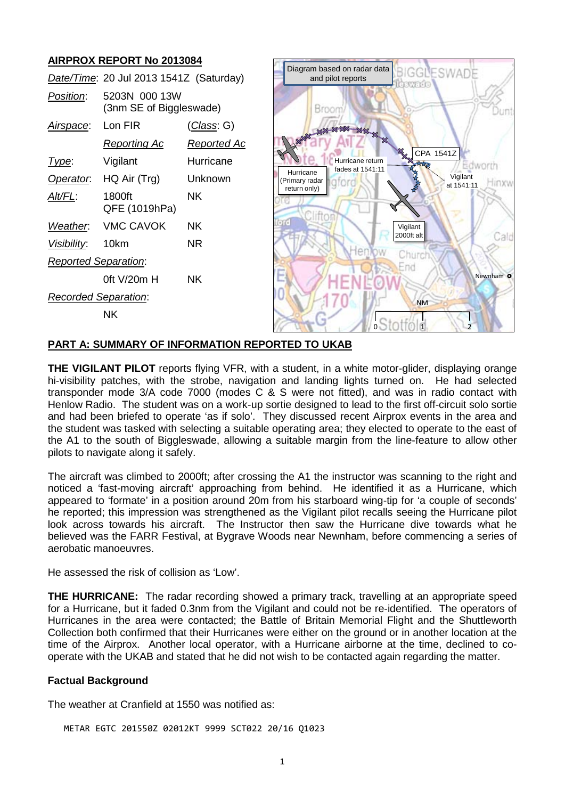# **AIRPROX REPORT No 2013084**

|                             | Date/Time: 20 Jul 2013 1541Z (Saturday)  |                    | Diagram based on radar data<br>BIGGLESWADE<br>and pilot reports<br>aswari G |
|-----------------------------|------------------------------------------|--------------------|-----------------------------------------------------------------------------|
| Position:                   | 5203N 000 13W<br>(3nm SE of Biggleswade) |                    | Broom                                                                       |
| Airspace:                   | Lon FIR                                  | <u>(Class</u> : G) | XXXXXX XXX                                                                  |
|                             | <b>Reporting Ac</b>                      | <b>Reported Ac</b> |                                                                             |
| Type:                       | Vigilant                                 | Hurricane          | CPA 1541Z<br>Hurricane return<br>fades at 1541:11                           |
| Operator.                   | HQ Air (Trg)                             | Unknown            | Hurricane<br>Vigilant<br>(Primary radar<br><b>HINXW</b><br>at 1541:11       |
| Alt/FL:                     | 1800ft<br>QFE (1019hPa)                  | NK.                | return only)                                                                |
| Weather.                    | <b>VMC CAVOK</b>                         | <b>NK</b>          | Vigilant<br>2000ft alt                                                      |
| Visibility:                 | 10km                                     | <b>NR</b>          | Cald                                                                        |
| <b>Reported Separation:</b> |                                          |                    | <b>Churc</b><br>End                                                         |
|                             | Oft V/20m H                              | <b>NK</b>          | Newnham O                                                                   |
| Recorded Separation:        |                                          |                    | <b>NM</b>                                                                   |
|                             | <b>NK</b>                                |                    |                                                                             |

#### **PART A: SUMMARY OF INFORMATION REPORTED TO UKAB**

**THE VIGILANT PILOT** reports flying VFR, with a student, in a white motor-glider, displaying orange hi-visibility patches, with the strobe, navigation and landing lights turned on. He had selected transponder mode 3/A code 7000 (modes C & S were not fitted), and was in radio contact with Henlow Radio. The student was on a work-up sortie designed to lead to the first off-circuit solo sortie and had been briefed to operate 'as if solo'. They discussed recent Airprox events in the area and the student was tasked with selecting a suitable operating area; they elected to operate to the east of the A1 to the south of Biggleswade, allowing a suitable margin from the line-feature to allow other pilots to navigate along it safely.

The aircraft was climbed to 2000ft; after crossing the A1 the instructor was scanning to the right and noticed a 'fast-moving aircraft' approaching from behind. He identified it as a Hurricane, which appeared to 'formate' in a position around 20m from his starboard wing-tip for 'a couple of seconds' he reported; this impression was strengthened as the Vigilant pilot recalls seeing the Hurricane pilot look across towards his aircraft. The Instructor then saw the Hurricane dive towards what he believed was the FARR Festival, at Bygrave Woods near Newnham, before commencing a series of aerobatic manoeuvres.

He assessed the risk of collision as 'Low'.

**THE HURRICANE:** The radar recording showed a primary track, travelling at an appropriate speed for a Hurricane, but it faded 0.3nm from the Vigilant and could not be re-identified. The operators of Hurricanes in the area were contacted; the Battle of Britain Memorial Flight and the Shuttleworth Collection both confirmed that their Hurricanes were either on the ground or in another location at the time of the Airprox. Another local operator, with a Hurricane airborne at the time, declined to cooperate with the UKAB and stated that he did not wish to be contacted again regarding the matter.

### **Factual Background**

The weather at Cranfield at 1550 was notified as:

METAR EGTC 201550Z 02012KT 9999 SCT022 20/16 Q1023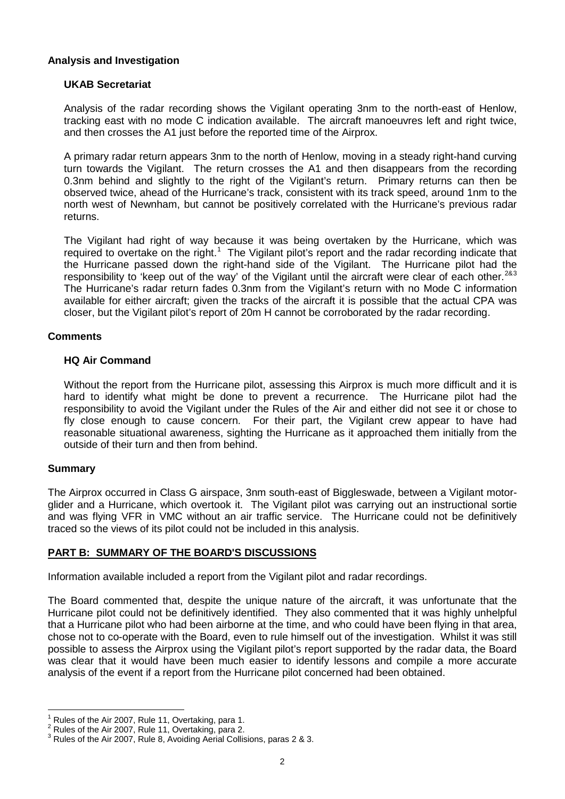### **Analysis and Investigation**

## **UKAB Secretariat**

Analysis of the radar recording shows the Vigilant operating 3nm to the north-east of Henlow, tracking east with no mode C indication available. The aircraft manoeuvres left and right twice, and then crosses the A1 just before the reported time of the Airprox.

A primary radar return appears 3nm to the north of Henlow, moving in a steady right-hand curving turn towards the Vigilant. The return crosses the A1 and then disappears from the recording 0.3nm behind and slightly to the right of the Vigilant's return. Primary returns can then be observed twice, ahead of the Hurricane's track, consistent with its track speed, around 1nm to the north west of Newnham, but cannot be positively correlated with the Hurricane's previous radar returns.

The Vigilant had right of way because it was being overtaken by the Hurricane, which was required to overtake on the right.<sup>[1](#page-1-0)</sup> The Vigilant pilot's report and the radar recording indicate that the Hurricane passed down the right-hand side of the Vigilant. The Hurricane pilot had the responsibility to 'keep out of the way' of the Vigilant until the aircraft were clear of each other.<sup>[2&](#page-1-1)[3](#page-1-2)</sup> The Hurricane's radar return fades 0.3nm from the Vigilant's return with no Mode C information available for either aircraft; given the tracks of the aircraft it is possible that the actual CPA was closer, but the Vigilant pilot's report of 20m H cannot be corroborated by the radar recording.

### **Comments**

### **HQ Air Command**

Without the report from the Hurricane pilot, assessing this Airprox is much more difficult and it is hard to identify what might be done to prevent a recurrence. The Hurricane pilot had the responsibility to avoid the Vigilant under the Rules of the Air and either did not see it or chose to fly close enough to cause concern. For their part, the Vigilant crew appear to have had reasonable situational awareness, sighting the Hurricane as it approached them initially from the outside of their turn and then from behind.

### **Summary**

The Airprox occurred in Class G airspace, 3nm south-east of Biggleswade, between a Vigilant motorglider and a Hurricane, which overtook it. The Vigilant pilot was carrying out an instructional sortie and was flying VFR in VMC without an air traffic service. The Hurricane could not be definitively traced so the views of its pilot could not be included in this analysis.

### **PART B: SUMMARY OF THE BOARD'S DISCUSSIONS**

Information available included a report from the Vigilant pilot and radar recordings.

The Board commented that, despite the unique nature of the aircraft, it was unfortunate that the Hurricane pilot could not be definitively identified. They also commented that it was highly unhelpful that a Hurricane pilot who had been airborne at the time, and who could have been flying in that area, chose not to co-operate with the Board, even to rule himself out of the investigation. Whilst it was still possible to assess the Airprox using the Vigilant pilot's report supported by the radar data, the Board was clear that it would have been much easier to identify lessons and compile a more accurate analysis of the event if a report from the Hurricane pilot concerned had been obtained.

<span id="page-1-2"></span><span id="page-1-1"></span>

<span id="page-1-0"></span><sup>&</sup>lt;sup>1</sup> Rules of the Air 2007, Rule 11, Overtaking, para 1.<br><sup>2</sup> Rules of the Air 2007, Rule 11, Overtaking, para 2.<br><sup>3</sup> Rules of the Air 2007, Rule 8, Avoiding Aerial Collisions, paras 2 & 3.